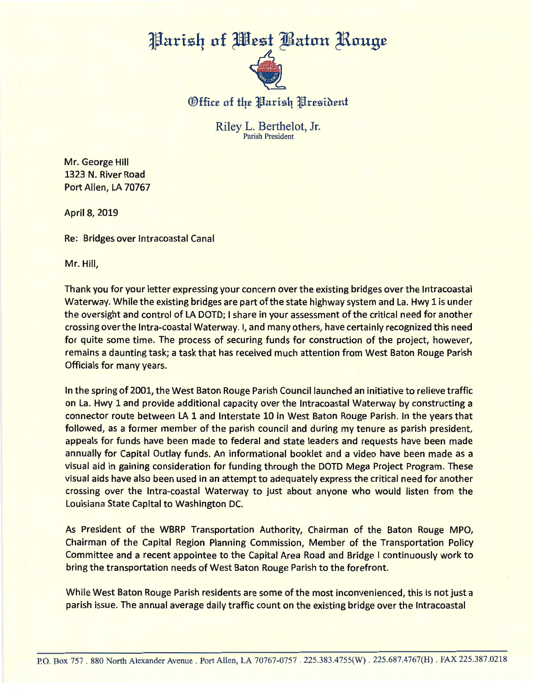## Parish of West Baton Rouge



Office of the Parish President

Riley L. Berthelot, Jr. Parish President

Mr. George Hill 1323 N. River Road Port Allen, LA 70767

April 8, 2019

Re: Bridges over lntracoastal Canal

Mr. Hill,

Thank you for your letter expressing your concern over the existing bridges over the lntracoastal Waterway. While the existing bridges are part of the state highway system and La. Hwy 1 is under the oversight and control of LA DOTD; I share in your assessment of the critical need for another crossing over the Intra-coastal Waterway. I, and many others, have certainly recognized this need for quite some time. The process of securing funds for construction of the project, however, remains a daunting task; a task that has received much attention from West Baton Rouge Parish Officials for many years.

In the spring of 2001, the West Baton Rouge Parish Council launched an initiative to relieve traffic on La. Hwy 1 and provide additional capacity over the lntracoastal Waterway by constructing a connector route between LA 1 and Interstate 10 in West Baton Rouge Parish. In the years that followed, as a former member of the parish council and during my tenure as parish president, appeals for funds have been made to federal and state leaders and requests have been made annually for Capital Outlay funds. An informational booklet and a video have been made as a visual aid in gaining consideration for funding through the DOTD Mega Project Program. These visual aids have also been used in an attempt to adequately express the critical need for another crossing over the Intra-coastal Waterway to just about anyone who would listen from the Louisiana State Capital to Washington DC.

As President of the WBRP Transportation Authority, Chairman of the Baton Rouge MPO, Chairman of the Capital Region Planning Commission, Member of the Transportation Policy Committee and a recent appointee to the Capital Area Road and Bridge I continuously work to bring the transportation needs of West Baton Rouge Parish to the forefront.

While West Baton Rouge Parish residents are some of the most inconvenienced, this is not just a parish issue. The annual average daily traffic count on the existing bridge over the lntracoastal